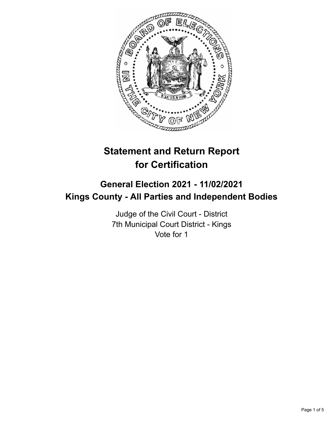

# **Statement and Return Report for Certification**

# **General Election 2021 - 11/02/2021 Kings County - All Parties and Independent Bodies**

Judge of the Civil Court - District 7th Municipal Court District - Kings Vote for 1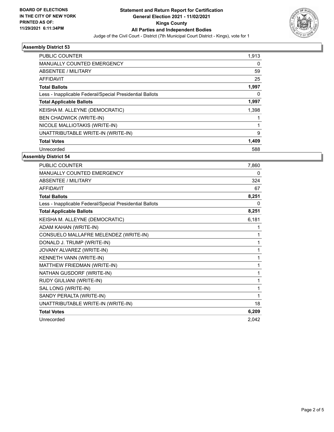

# **Assembly District 53**

| <b>PUBLIC COUNTER</b>                                    | 1,913 |
|----------------------------------------------------------|-------|
| <b>MANUALLY COUNTED EMERGENCY</b>                        | 0     |
| ABSENTEE / MILITARY                                      | 59    |
| AFFIDAVIT                                                | 25    |
| <b>Total Ballots</b>                                     | 1,997 |
| Less - Inapplicable Federal/Special Presidential Ballots | 0     |
| <b>Total Applicable Ballots</b>                          | 1,997 |
| KEISHA M. ALLEYNE (DEMOCRATIC)                           | 1,398 |
| <b>BEN CHADWICK (WRITE-IN)</b>                           |       |
| NICOLE MALLIOTAKIS (WRITE-IN)                            |       |
| UNATTRIBUTABLE WRITE-IN (WRITE-IN)                       | 9     |
| <b>Total Votes</b>                                       | 1,409 |
| Unrecorded                                               | 588   |

#### **Assembly District 54**

| <b>PUBLIC COUNTER</b>                                    | 7,860 |
|----------------------------------------------------------|-------|
| <b>MANUALLY COUNTED EMERGENCY</b>                        | 0     |
| <b>ABSENTEE / MILITARY</b>                               | 324   |
| <b>AFFIDAVIT</b>                                         | 67    |
| <b>Total Ballots</b>                                     | 8,251 |
| Less - Inapplicable Federal/Special Presidential Ballots | 0     |
| <b>Total Applicable Ballots</b>                          | 8,251 |
| KEISHA M. ALLEYNE (DEMOCRATIC)                           | 6,181 |
| ADAM KAHAN (WRITE-IN)                                    | 1     |
| CONSUELO MALLAFRE MELENDEZ (WRITE-IN)                    | 1     |
| DONALD J. TRUMP (WRITE-IN)                               | 1     |
| JOVANY ALVAREZ (WRITE-IN)                                | 1     |
| KENNETH VANN (WRITE-IN)                                  | 1     |
| MATTHEW FRIEDMAN (WRITE-IN)                              | 1     |
| NATHAN GUSDORF (WRITE-IN)                                | 1     |
| RUDY GIULIANI (WRITE-IN)                                 | 1     |
| SAL LONG (WRITE-IN)                                      | 1     |
| SANDY PERALTA (WRITE-IN)                                 | 1     |
| UNATTRIBUTABLE WRITE-IN (WRITE-IN)                       | 18    |
| <b>Total Votes</b>                                       | 6,209 |
| Unrecorded                                               | 2.042 |
|                                                          |       |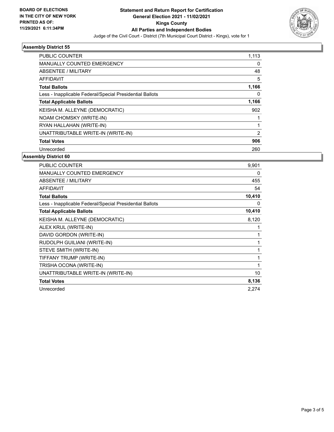

# **Assembly District 55**

| <b>PUBLIC COUNTER</b>                                    | 1,113          |
|----------------------------------------------------------|----------------|
| <b>MANUALLY COUNTED EMERGENCY</b>                        | 0              |
| ABSENTEE / MILITARY                                      | 48             |
| AFFIDAVIT                                                | 5              |
| <b>Total Ballots</b>                                     | 1,166          |
| Less - Inapplicable Federal/Special Presidential Ballots | 0              |
| <b>Total Applicable Ballots</b>                          | 1,166          |
| KEISHA M. ALLEYNE (DEMOCRATIC)                           | 902            |
| NOAM CHOMSKY (WRITE-IN)                                  |                |
| RYAN HALLAHAN (WRITE-IN)                                 |                |
| UNATTRIBUTABLE WRITE-IN (WRITE-IN)                       | $\overline{2}$ |
| <b>Total Votes</b>                                       | 906            |
| Unrecorded                                               | 260            |
|                                                          |                |

#### **Assembly District 60**

| <b>PUBLIC COUNTER</b>                                    | 9,901        |
|----------------------------------------------------------|--------------|
| <b>MANUALLY COUNTED EMERGENCY</b>                        | 0            |
| ABSENTEE / MILITARY                                      | 455          |
| <b>AFFIDAVIT</b>                                         | 54           |
| <b>Total Ballots</b>                                     | 10,410       |
| Less - Inapplicable Federal/Special Presidential Ballots | 0            |
| <b>Total Applicable Ballots</b>                          | 10,410       |
| KEISHA M. ALLEYNE (DEMOCRATIC)                           | 8,120        |
| ALEX KRUL (WRITE-IN)                                     | 1            |
| DAVID GORDON (WRITE-IN)                                  | $\mathbf{1}$ |
| RUDOLPH GUILIANI (WRITE-IN)                              | 1            |
| STEVE SMITH (WRITE-IN)                                   | 1            |
| TIFFANY TRUMP (WRITE-IN)                                 | 1            |
| TRISHA OCONA (WRITE-IN)                                  | 1            |
| UNATTRIBUTABLE WRITE-IN (WRITE-IN)                       | 10           |
| <b>Total Votes</b>                                       | 8,136        |
| Unrecorded                                               | 2,274        |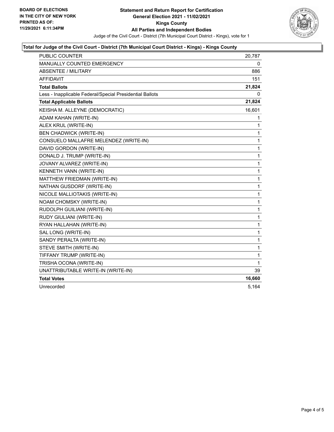

# **Total for Judge of the Civil Court - District (7th Municipal Court District - Kings) - Kings County**

| <b>PUBLIC COUNTER</b>                                    | 20,787       |
|----------------------------------------------------------|--------------|
| MANUALLY COUNTED EMERGENCY                               | 0            |
| <b>ABSENTEE / MILITARY</b>                               | 886          |
| <b>AFFIDAVIT</b>                                         | 151          |
| <b>Total Ballots</b>                                     | 21,824       |
| Less - Inapplicable Federal/Special Presidential Ballots | 0            |
| <b>Total Applicable Ballots</b>                          | 21,824       |
| KEISHA M. ALLEYNE (DEMOCRATIC)                           | 16,601       |
| ADAM KAHAN (WRITE-IN)                                    | 1            |
| ALEX KRUL (WRITE-IN)                                     | 1            |
| <b>BEN CHADWICK (WRITE-IN)</b>                           | 1            |
| CONSUELO MALLAFRE MELENDEZ (WRITE-IN)                    | 1            |
| DAVID GORDON (WRITE-IN)                                  | 1            |
| DONALD J. TRUMP (WRITE-IN)                               | 1            |
| JOVANY ALVAREZ (WRITE-IN)                                | 1            |
| KENNETH VANN (WRITE-IN)                                  | 1            |
| MATTHEW FRIEDMAN (WRITE-IN)                              | 1            |
| NATHAN GUSDORF (WRITE-IN)                                | $\mathbf{1}$ |
| NICOLE MALLIOTAKIS (WRITE-IN)                            | 1            |
| NOAM CHOMSKY (WRITE-IN)                                  | 1            |
| RUDOLPH GUILIANI (WRITE-IN)                              | 1            |
| RUDY GIULIANI (WRITE-IN)                                 | 1            |
| RYAN HALLAHAN (WRITE-IN)                                 | 1            |
| SAL LONG (WRITE-IN)                                      | 1            |
| SANDY PERALTA (WRITE-IN)                                 | 1            |
| STEVE SMITH (WRITE-IN)                                   | 1            |
| TIFFANY TRUMP (WRITE-IN)                                 | 1            |
| TRISHA OCONA (WRITE-IN)                                  | 1            |
| UNATTRIBUTABLE WRITE-IN (WRITE-IN)                       | 39           |
| <b>Total Votes</b>                                       | 16,660       |
| Unrecorded                                               | 5,164        |